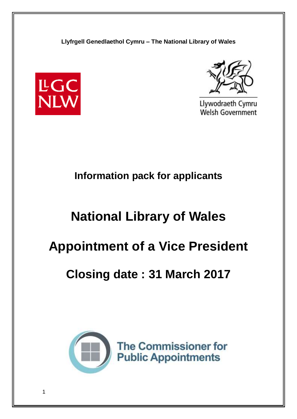



Llywodraeth Cymru **Welsh Government** 

# **Information pack for applicants**

# **National Library of Wales**

# **Appointment of a Vice President**

# **Closing date : 31 March 2017**

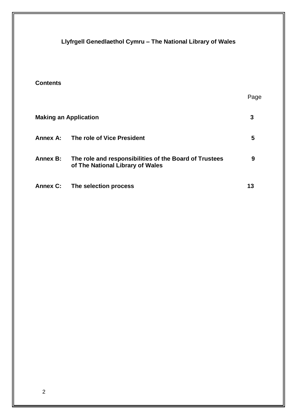**Llyfrgell Genedlaethol Cymru – The National Library of Wales Contents** Page **Making an Application 3** Annex A: The role of Vice President **5 Annex B: The role and responsibilities of the Board of Trustees 9 of The National Library of Wales**  Annex C: The selection process **13**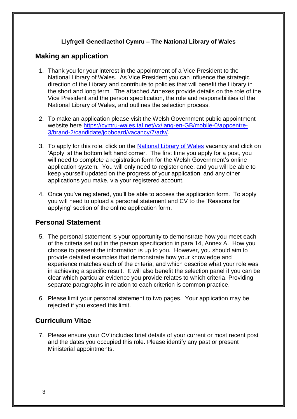# **Making an application**

- 1. Thank you for your interest in the appointment of a Vice President to the National Library of Wales. As Vice President you can influence the strategic direction of the Library and contribute to policies that will benefit the Library in the short and long term. The attached Annexes provide details on the role of the Vice President and the person specification, the role and responsibilities of the National Library of Wales, and outlines the selection process.
- 2. To make an application please visit the Welsh Government public appointment website here [https://cymru-wales.tal.net/vx/lang-en-GB/mobile-0/appcentre-](https://cymru-wales.tal.net/vx/lang-en-GB/mobile-0/appcentre-3/brand-2/candidate/jobboard/vacancy/7/adv/)[3/brand-2/candidate/jobboard/vacancy/7/adv/.](https://cymru-wales.tal.net/vx/lang-en-GB/mobile-0/appcentre-3/brand-2/candidate/jobboard/vacancy/7/adv/)
- 3. To apply for this role, click on the [National Library of Wales](https://cymru-wales.tal.net/vx/appcentre-3/brand-2/candidate/so/pm/1/pl/8/opp/3026-Vice-President-National-Library-of-Wales/en-GB) vacancy and click on 'Apply' at the bottom left hand corner. The first time you apply for a post, you will need to complete a registration form for the Welsh Government's online application system. You will only need to register once, and you will be able to keep yourself updated on the progress of your application, and any other applications you make, via your registered account.
- 4. Once you've registered, you'll be able to access the application form. To apply you will need to upload a personal statement and CV to the 'Reasons for applying' section of the online application form.

# **Personal Statement**

- 5. The personal statement is your opportunity to demonstrate how you meet each of the criteria set out in the person specification in para 14, Annex A. How you choose to present the information is up to you. However, you should aim to provide detailed examples that demonstrate how your knowledge and experience matches each of the criteria, and which describe what your role was in achieving a specific result. It will also benefit the selection panel if you can be clear which particular evidence you provide relates to which criteria. Providing separate paragraphs in relation to each criterion is common practice.
- 6. Please limit your personal statement to two pages. Your application may be rejected if you exceed this limit.

# **Curriculum Vitae**

7. Please ensure your CV includes brief details of your current or most recent post and the dates you occupied this role. Please identify any past or present Ministerial appointments.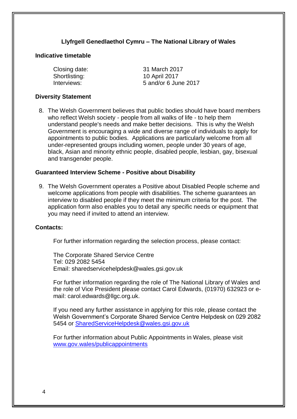#### **Indicative timetable**

Shortlisting: 10 April 2017

Closing date: 31 March 2017 Interviews: 5 and/or 6 June 2017

#### **Diversity Statement**

8. The Welsh Government believes that public bodies should have board members who reflect Welsh society - people from all walks of life - to help them understand people's needs and make better decisions. This is why the Welsh Government is encouraging a wide and diverse range of individuals to apply for appointments to public bodies. Applications are particularly welcome from all under-represented groups including women, people under 30 years of age, black, Asian and minority ethnic people, disabled people, lesbian, gay, bisexual and transgender people.

#### **Guaranteed Interview Scheme - Positive about Disability**

9. The Welsh Government operates a Positive about Disabled People scheme and welcome applications from people with disabilities. The scheme guarantees an interview to disabled people if they meet the minimum criteria for the post. The application form also enables you to detail any specific needs or equipment that you may need if invited to attend an interview.

#### **Contacts:**

For further information regarding the selection process, please contact:

The Corporate Shared Service Centre Tel: 029 2082 5454 Email: sharedservicehelpdesk@wales.gsi.gov.uk

For further information regarding the role of The National Library of Wales and the role of Vice President please contact Carol Edwards, (01970) 632923 or email: carol.edwards@llgc.org.uk.

If you need any further assistance in applying for this role, please contact the Welsh Government's Corporate Shared Service Centre Helpdesk on 029 2082 5454 or [SharedServiceHelpdesk@wales.gsi.gov.uk](mailto:SharedServiceHelpdesk@wales.gsi.gov.uk) 

For further information about Public Appointments in Wales, please visit [www.gov.wales/publicappointments](http://www.gov.wales/publicappointments)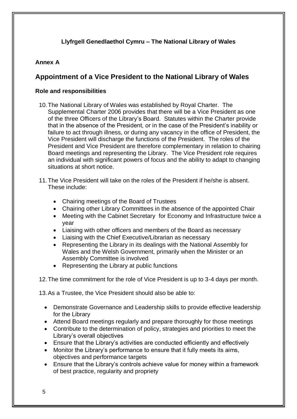## **Annex A**

# **Appointment of a Vice President to the National Library of Wales**

#### **Role and responsibilities**

- 10.The National Library of Wales was established by Royal Charter. The Supplemental Charter 2006 provides that there will be a Vice President as one of the three Officers of the Library's Board. Statutes within the Charter provide that in the absence of the President, or in the case of the President's inability or failure to act through illness, or during any vacancy in the office of President, the Vice President will discharge the functions of the President. The roles of the President and Vice President are therefore complementary in relation to chairing Board meetings and representing the Library. The Vice President role requires an individual with significant powers of focus and the ability to adapt to changing situations at short notice.
- 11.The Vice President will take on the roles of the President if he/she is absent. These include:
	- Chairing meetings of the Board of Trustees
	- Chairing other Library Committees in the absence of the appointed Chair
	- Meeting with the Cabinet Secretary for Economy and Infrastructure twice a year
	- Liaising with other officers and members of the Board as necessary
	- Liaising with the Chief Executive/Librarian as necessary
	- Representing the Library in its dealings with the National Assembly for Wales and the Welsh Government, primarily when the Minister or an Assembly Committee is involved
	- Representing the Library at public functions

12.The time commitment for the role of Vice President is up to 3-4 days per month.

13.As a Trustee, the Vice President should also be able to:

- Demonstrate Governance and Leadership skills to provide effective leadership for the Library
- Attend Board meetings regularly and prepare thoroughly for those meetings
- Contribute to the determination of policy, strategies and priorities to meet the Library's overall objectives
- Ensure that the Library's activities are conducted efficiently and effectively
- Monitor the Library's performance to ensure that it fully meets its aims, objectives and performance targets
- Ensure that the Library's controls achieve value for money within a framework of best practice, regularity and propriety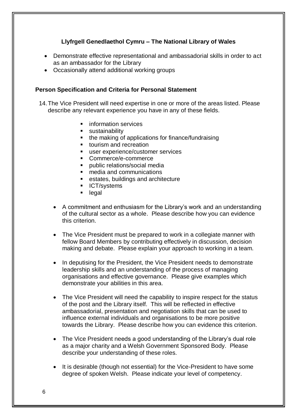- Demonstrate effective representational and ambassadorial skills in order to act as an ambassador for the Library
- Occasionally attend additional working groups

#### **Person Specification and Criteria for Personal Statement**

- 14.The Vice President will need expertise in one or more of the areas listed. Please describe any relevant experience you have in any of these fields.
	- **information services**
	- **sustainability**
	- the making of applications for finance/fundraising
	- **tiourism and recreation**
	- user experience/customer services
	- Commerce/e-commerce
	- public relations/social media
	- media and communications
	- **EXECUTE:** estates, buildings and architecture
	- **ICT/systems**
	- legal
	- A commitment and enthusiasm for the Library's work and an understanding of the cultural sector as a whole. Please describe how you can evidence this criterion.
	- The Vice President must be prepared to work in a collegiate manner with fellow Board Members by contributing effectively in discussion, decision making and debate. Please explain your approach to working in a team.
	- In deputising for the President, the Vice President needs to demonstrate leadership skills and an understanding of the process of managing organisations and effective governance. Please give examples which demonstrate your abilities in this area.
	- The Vice President will need the capability to inspire respect for the status of the post and the Library itself. This will be reflected in effective ambassadorial, presentation and negotiation skills that can be used to influence external individuals and organisations to be more positive towards the Library. Please describe how you can evidence this criterion.
	- The Vice President needs a good understanding of the Library's dual role as a major charity and a Welsh Government Sponsored Body. Please describe your understanding of these roles.
	- It is desirable (though not essential) for the Vice-President to have some degree of spoken Welsh. Please indicate your level of competency.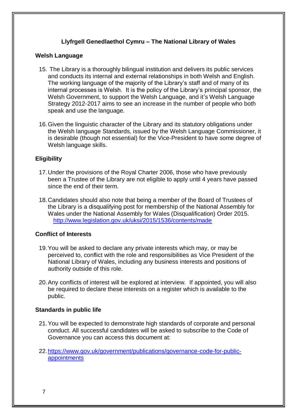#### **Welsh Language**

- 15. The Library is a thoroughly bilingual institution and delivers its public services and conducts its internal and external relationships in both Welsh and English. The working language of the majority of the Library's staff and of many of its internal processes is Welsh. It is the policy of the Library's principal sponsor, the Welsh Government, to support the Welsh Language, and it's Welsh Language Strategy 2012-2017 aims to see an increase in the number of people who both speak and use the language.
- 16.Given the linguistic character of the Library and its statutory obligations under the Welsh language Standards, issued by the Welsh Language Commissioner, it is desirable (though not essential) for the Vice-President to have some degree of Welsh language skills.

#### **Eligibility**

- 17.Under the provisions of the Royal Charter 2006, those who have previously been a Trustee of the Library are not eligible to apply until 4 years have passed since the end of their term.
- 18.Candidates should also note that being a member of the Board of Trustees of the Library is a disqualifying post for membership of the National Assembly for Wales under the National Assembly for Wales (Disqualification) Order 2015. <http://www.legislation.gov.uk/uksi/2015/1536/contents/made>

#### **Conflict of Interests**

- 19.You will be asked to declare any private interests which may, or may be perceived to, conflict with the role and responsibilities as Vice President of the National Library of Wales, including any business interests and positions of authority outside of this role.
- 20.Any conflicts of interest will be explored at interview. If appointed, you will also be required to declare these interests on a register which is available to the public.

#### **Standards in public life**

- 21.You will be expected to demonstrate high standards of corporate and personal conduct. All successful candidates will be asked to subscribe to the Code of Governance you can access this document at:
- [22.https://www.gov.uk/government/publications/governance-code-for-public](https://www.gov.uk/government/publications/governance-code-for-public-appointments)[appointments](https://www.gov.uk/government/publications/governance-code-for-public-appointments)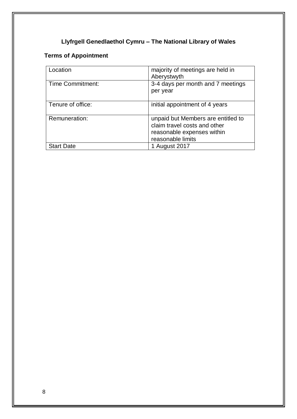# **Terms of Appointment**

| _ocation                | majority of meetings are held in<br>Aberystwyth                                                                       |
|-------------------------|-----------------------------------------------------------------------------------------------------------------------|
| <b>Time Commitment:</b> | 3-4 days per month and 7 meetings<br>per year                                                                         |
| Tenure of office:       | initial appointment of 4 years                                                                                        |
| Remuneration:           | unpaid but Members are entitled to<br>claim travel costs and other<br>reasonable expenses within<br>reasonable limits |
| <b>Start Date</b>       | 1 August 2017                                                                                                         |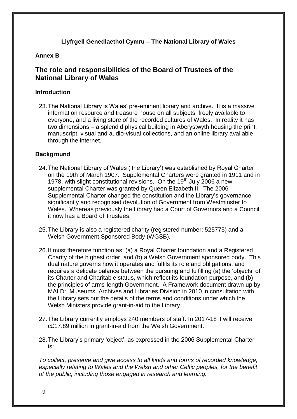#### **Annex B**

# **The role and responsibilities of the Board of Trustees of the National Library of Wales**

#### **Introduction**

23.The National Library is Wales' pre-eminent library and archive. It is a massive information resource and treasure house on all subjects, freely available to everyone, and a living store of the recorded cultures of Wales. In reality it has two dimensions – a splendid physical building in Aberystwyth housing the print, manuscript, visual and audio-visual collections, and an online library available through the internet.

#### **Background**

- 24.The National Library of Wales ('the Library') was established by Royal Charter on the 19th of March 1907. Supplemental Charters were granted in 1911 and in 1978, with slight constitutional revisions. On the 19<sup>th</sup> July 2006 a new supplemental Charter was granted by Queen Elizabeth II. The 2006 Supplemental Charter changed the constitution and the Library's governance significantly and recognised devolution of Government from Westminster to Wales. Whereas previously the Library had a Court of Governors and a Council it now has a Board of Trustees.
- 25.The Library is also a registered charity (registered number: 525775) and a Welsh Government Sponsored Body (WGSB).
- 26.It must therefore function as: (a) a Royal Charter foundation and a Registered Charity of the highest order, and (b) a Welsh Government sponsored body. This dual nature governs how it operates and fulfils its role and obligations, and requires a delicate balance between the pursuing and fulfilling (a) the 'objects' of its Charter and Charitable status, which reflect its foundation purpose, and (b) the principles of arms-length Government. A Framework document drawn up by MALD: Museums, Archives and Libraries Division in 2010 in consultation with the Library sets out the details of the terms and conditions under which the Welsh Ministers provide grant-in-aid to the Library.
- 27.The Library currently employs 240 members of staff. In 2017-18 it will receive c£17.89 million in grant-in-aid from the Welsh Government.
- 28.The Library's primary 'object', as expressed in the 2006 Supplemental Charter is:

*To collect, preserve and give access to all kinds and forms of recorded knowledge, especially relating to Wales and the Welsh and other Celtic peoples, for the benefit of the public, including those engaged in research and learning.*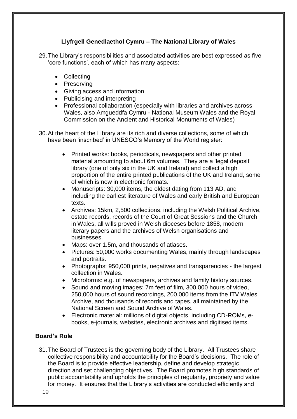29.The Library's responsibilities and associated activities are best expressed as five 'core functions', each of which has many aspects:

- Collecting
- Preserving
- Giving access and information
- Publicising and interpreting
- Professional collaboration (especially with libraries and archives across Wales, also Amgueddfa Cymru - National Museum Wales and the Royal Commission on the Ancient and Historical Monuments of Wales)
- 30.At the heart of the Library are its rich and diverse collections, some of which have been 'inscribed' in UNESCO's Memory of the World register:
	- Printed works: books, periodicals, newspapers and other printed material amounting to about 6m volumes. They are a 'legal deposit' library (one of only six in the UK and Ireland) and collect a high proportion of the entire printed publications of the UK and Ireland, some of which is now in electronic formats.
	- Manuscripts: 30,000 items, the oldest dating from 113 AD, and including the earliest literature of Wales and early British and European texts.
	- Archives: 15km, 2,500 collections, including the Welsh Political Archive, estate records, records of the Court of Great Sessions and the Church in Wales, all wills proved in Welsh dioceses before 1858, modern literary papers and the archives of Welsh organisations and businesses.
	- Maps: over 1.5m, and thousands of atlases.
	- Pictures: 50,000 works documenting Wales, mainly through landscapes and portraits.
	- Photographs: 950,000 prints, negatives and transparencies the largest collection in Wales.
	- Microforms: e.g. of newspapers, archives and family history sources.
	- Sound and moving images: 7m feet of film, 300,000 hours of video, 250,000 hours of sound recordings, 200,000 items from the ITV Wales Archive, and thousands of records and tapes, all maintained by the National Screen and Sound Archive of Wales.
	- Electronic material: millions of digital objects, including CD-ROMs, ebooks, e-journals, websites, electronic archives and digitised items.

# **Board's Role**

31.The Board of Trustees is the governing body of the Library. All Trustees share collective responsibility and accountability for the Board's decisions. The role of the Board is to provide effective leadership, define and develop strategic direction and set challenging objectives. The Board promotes high standards of public accountability and upholds the principles of regularity, propriety and value for money. It ensures that the Library's activities are conducted efficiently and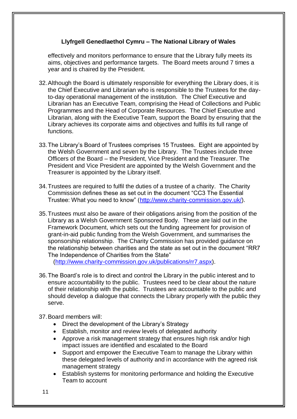effectively and monitors performance to ensure that the Library fully meets its aims, objectives and performance targets. The Board meets around 7 times a year and is chaired by the President.

- 32.Although the Board is ultimately responsible for everything the Library does, it is the Chief Executive and Librarian who is responsible to the Trustees for the dayto-day operational management of the institution. The Chief Executive and Librarian has an Executive Team, comprising the Head of Collections and Public Programmes and the Head of Corporate Resources. The Chief Executive and Librarian, along with the Executive Team, support the Board by ensuring that the Library achieves its corporate aims and objectives and fulfils its full range of functions.
- 33.The Library's Board of Trustees comprises 15 Trustees. Eight are appointed by the Welsh Government and seven by the Library. The Trustees include three Officers of the Board – the President, Vice President and the Treasurer. The President and Vice President are appointed by the Welsh Government and the Treasurer is appointed by the Library itself.
- 34.Trustees are required to fulfil the duties of a trustee of a charity. The Charity Commission defines these as set out in the document "CC3 The Essential Trustee: What you need to know" [\(http://www.charity-commission.gov.uk/\)](http://www.charity-commission.gov.uk/).
- 35.Trustees must also be aware of their obligations arising from the position of the Library as a Welsh Government Sponsored Body. These are laid out in the Framework Document, which sets out the funding agreement for provision of grant-in-aid public funding from the Welsh Government, and summarises the sponsorship relationship. The Charity Commission has provided guidance on the relationship between charities and the state as set out in the document "RR7 The Independence of Charities from the State"

[\(http://www.charity-commission.gov.uk/publications/rr7.aspx\)](http://www.charity-commission.gov.uk/publications/rr7.aspx).

36.The Board's role is to direct and control the Library in the public interest and to ensure accountability to the public. Trustees need to be clear about the nature of their relationship with the public. Trustees are accountable to the public and should develop a dialogue that connects the Library properly with the public they serve.

37.Board members will:

- Direct the development of the Library's Strategy
- Establish, monitor and review levels of delegated authority
- Approve a risk management strategy that ensures high risk and/or high impact issues are identified and escalated to the Board
- Support and empower the Executive Team to manage the Library within these delegated levels of authority and in accordance with the agreed risk management strategy
- Establish systems for monitoring performance and holding the Executive Team to account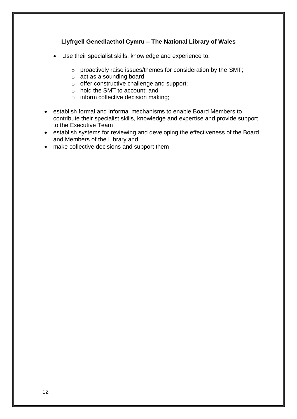- Use their specialist skills, knowledge and experience to:
	- o proactively raise issues/themes for consideration by the SMT;
	- o act as a sounding board;
	- o offer constructive challenge and support;
	- o hold the SMT to account; and
	- o inform collective decision making;
- establish formal and informal mechanisms to enable Board Members to contribute their specialist skills, knowledge and expertise and provide support to the Executive Team
- establish systems for reviewing and developing the effectiveness of the Board and Members of the Library and
- make collective decisions and support them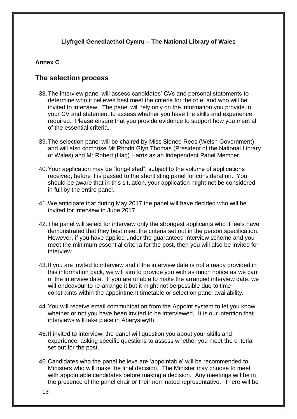### **Annex C**

# **The selection process**

- 38.The interview panel will assess candidates' CVs and personal statements to determine who it believes best meet the criteria for the role, and who will be invited to interview. The panel will rely only on the information you provide in your CV and statement to assess whether you have the skills and experience required. Please ensure that you provide evidence to support how you meet all of the essential criteria.
- 39.The selection panel will be chaired by Miss Sioned Rees (Welsh Government) and will also comprise Mr Rhodri Glyn Thomas (President of the National Library of Wales) and Mr Robert (Hag) Harris as an Independent Panel Member.
- 40.Your application may be "long-listed", subject to the volume of applications received, before it is passed to the shortlisting panel for consideration. You should be aware that in this situation, your application might not be considered in full by the entire panel.
- 41.We anticipate that during May 2017 the panel will have decided who will be invited for interview in June 2017.
- 42.The panel will select for interview only the strongest applicants who it feels have demonstrated that they best meet the criteria set out in the person specification. However, if you have applied under the guaranteed interview scheme and you meet the minimum essential criteria for the post, then you will also be invited for interview.
- 43.If you are invited to interview and if the interview date is not already provided in this information pack, we will aim to provide you with as much notice as we can of the interview date. If you are unable to make the arranged interview date, we will endeavour to re-arrange it but it might not be possible due to time constraints within the appointment timetable or selection panel availability.
- 44.You will receive email communication from the Appoint system to let you know whether or not you have been invited to be interviewed. It is our intention that interviews will take place in Aberystwyth.
- 45.If invited to interview, the panel will question you about your skills and experience, asking specific questions to assess whether you meet the criteria set out for the post.
- 46.Candidates who the panel believe are 'appointable' will be recommended to Ministers who will make the final decision. The Minister may choose to meet with appointable candidates before making a decision. Any meetings will be in the presence of the panel chair or their nominated representative. There will be